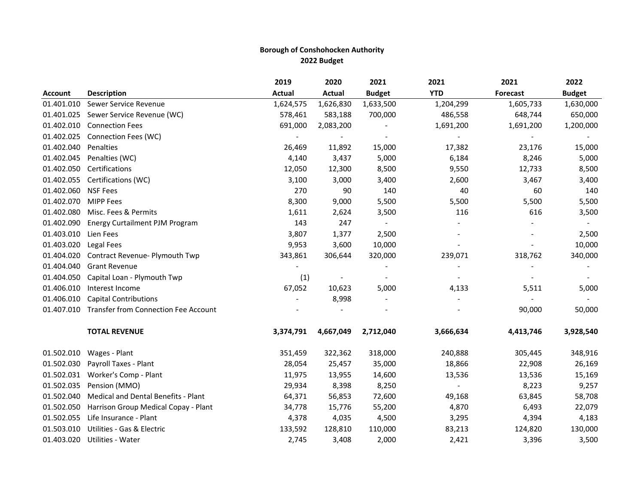## Borough of Conshohocken Authority 2022 Budget

|                      |                                                 | 2019           | 2020          | 2021                     | 2021       | 2021      | 2022          |
|----------------------|-------------------------------------------------|----------------|---------------|--------------------------|------------|-----------|---------------|
| <b>Account</b>       | <b>Description</b>                              | <b>Actual</b>  | <b>Actual</b> | <b>Budget</b>            | <b>YTD</b> | Forecast  | <b>Budget</b> |
| 01.401.010           | Sewer Service Revenue                           | 1,624,575      | 1,626,830     | 1,633,500                | 1,204,299  | 1,605,733 | 1,630,000     |
| 01.401.025           | Sewer Service Revenue (WC)                      | 578,461        | 583,188       | 700,000                  | 486,558    | 648,744   | 650,000       |
| 01.402.010           | <b>Connection Fees</b>                          | 691,000        | 2,083,200     |                          | 1,691,200  | 1,691,200 | 1,200,000     |
| 01.402.025           | Connection Fees (WC)                            |                |               |                          |            |           |               |
| 01.402.040           | Penalties                                       | 26,469         | 11,892        | 15,000                   | 17,382     | 23,176    | 15,000        |
| 01.402.045           | Penalties (WC)                                  | 4,140          | 3,437         | 5,000                    | 6,184      | 8,246     | 5,000         |
| 01.402.050           | Certifications                                  | 12,050         | 12,300        | 8,500                    | 9,550      | 12,733    | 8,500         |
| 01.402.055           | Certifications (WC)                             | 3,100          | 3,000         | 3,400                    | 2,600      | 3,467     | 3,400         |
| 01.402.060           | <b>NSF Fees</b>                                 | 270            | 90            | 140                      | 40         | 60        | 140           |
| 01.402.070 MIPP Fees |                                                 | 8,300          | 9,000         | 5,500                    | 5,500      | 5,500     | 5,500         |
| 01.402.080           | Misc. Fees & Permits                            | 1,611          | 2,624         | 3,500                    | 116        | 616       | 3,500         |
|                      | 01.402.090 Energy Curtailment PJM Program       | 143            | 247           | $\overline{\phantom{a}}$ |            |           |               |
| 01.403.010           | Lien Fees                                       | 3,807          | 1,377         | 2,500                    |            |           | 2,500         |
| 01.403.020           | <b>Legal Fees</b>                               | 9,953          | 3,600         | 10,000                   |            |           | 10,000        |
| 01.404.020           | Contract Revenue- Plymouth Twp                  | 343,861        | 306,644       | 320,000                  | 239,071    | 318,762   | 340,000       |
| 01.404.040           | <b>Grant Revenue</b>                            | $\blacksquare$ |               |                          |            |           |               |
| 01.404.050           | Capital Loan - Plymouth Twp                     | (1)            |               |                          |            |           |               |
| 01.406.010           | Interest Income                                 | 67,052         | 10,623        | 5,000                    | 4,133      | 5,511     | 5,000         |
| 01.406.010           | <b>Capital Contributions</b>                    |                | 8,998         |                          |            |           |               |
|                      | 01.407.010 Transfer from Connection Fee Account |                |               |                          |            | 90,000    | 50,000        |
|                      | <b>TOTAL REVENUE</b>                            | 3,374,791      | 4,667,049     | 2,712,040                | 3,666,634  | 4,413,746 | 3,928,540     |
| 01.502.010           | Wages - Plant                                   | 351,459        | 322,362       | 318,000                  | 240,888    | 305,445   | 348,916       |
| 01.502.030           | Payroll Taxes - Plant                           | 28,054         | 25,457        | 35,000                   | 18,866     | 22,908    | 26,169        |
| 01.502.031           | Worker's Comp - Plant                           | 11,975         | 13,955        | 14,600                   | 13,536     | 13,536    | 15,169        |
| 01.502.035           | Pension (MMO)                                   | 29,934         | 8,398         | 8,250                    | $\sim$     | 8,223     | 9,257         |
| 01.502.040           | Medical and Dental Benefits - Plant             | 64,371         | 56,853        | 72,600                   | 49,168     | 63,845    | 58,708        |
| 01.502.050           | Harrison Group Medical Copay - Plant            | 34,778         | 15,776        | 55,200                   | 4,870      | 6,493     | 22,079        |
| 01.502.055           | Life Insurance - Plant                          | 4,378          | 4,035         | 4,500                    | 3,295      | 4,394     | 4,183         |
| 01.503.010           | Utilities - Gas & Electric                      | 133,592        | 128,810       | 110,000                  | 83,213     | 124,820   | 130,000       |
| 01.403.020           | Utilities - Water                               | 2,745          | 3,408         | 2,000                    | 2,421      | 3,396     | 3,500         |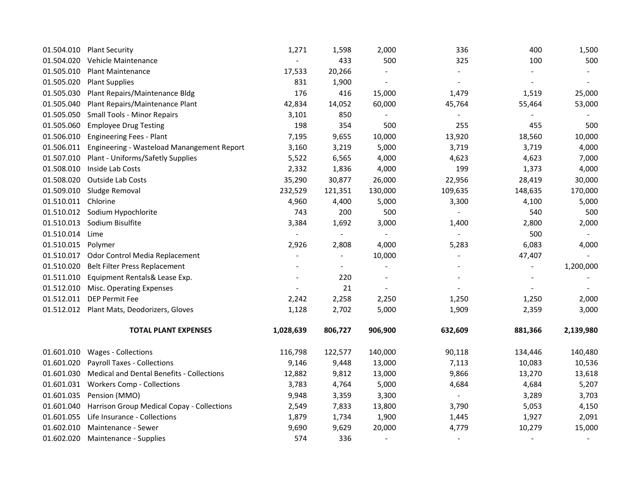| 01.504.010          | <b>Plant Security</b>                                 | 1,271     | 1,598                    | 2,000                    | 336            | 400            | 1,500     |
|---------------------|-------------------------------------------------------|-----------|--------------------------|--------------------------|----------------|----------------|-----------|
| 01.504.020          | Vehicle Maintenance                                   |           | 433                      | 500                      | 325            | 100            | 500       |
| 01.505.010          | <b>Plant Maintenance</b>                              | 17,533    | 20,266                   |                          |                |                |           |
| 01.505.020          | <b>Plant Supplies</b>                                 | 831       | 1,900                    |                          |                |                |           |
| 01.505.030          | Plant Repairs/Maintenance Bldg                        | 176       | 416                      | 15,000                   | 1,479          | 1,519          | 25,000    |
| 01.505.040          | Plant Repairs/Maintenance Plant                       | 42,834    | 14,052                   | 60,000                   | 45,764         | 55,464         | 53,000    |
| 01.505.050          | <b>Small Tools - Minor Repairs</b>                    | 3,101     | 850                      |                          |                |                |           |
| 01.505.060          | <b>Employee Drug Testing</b>                          | 198       | 354                      | 500                      | 255            | 455            | 500       |
| 01.506.010          | <b>Engineering Fees - Plant</b>                       | 7,195     | 9,655                    | 10,000                   | 13,920         | 18,560         | 10,000    |
| 01.506.011          | Engineering - Wasteload Manangement Report            | 3,160     | 3,219                    | 5,000                    | 3,719          | 3,719          | 4,000     |
| 01.507.010          | Plant - Uniforms/Safetly Supplies                     | 5,522     | 6,565                    | 4,000                    | 4,623          | 4,623          | 7,000     |
| 01.508.010          | Inside Lab Costs                                      | 2,332     | 1,836                    | 4,000                    | 199            | 1,373          | 4,000     |
| 01.508.020          | Outside Lab Costs                                     | 35,290    | 30,877                   | 26,000                   | 22,956         | 28,419         | 30,000    |
|                     | 01.509.010 Sludge Removal                             | 232,529   | 121,351                  | 130,000                  | 109,635        | 148,635        | 170,000   |
| 01.510.011 Chlorine |                                                       | 4,960     | 4,400                    | 5,000                    | 3,300          | 4,100          | 5,000     |
|                     | 01.510.012 Sodium Hypochlorite                        | 743       | 200                      | 500                      |                | 540            | 500       |
|                     | 01.510.013 Sodium Bisulfite                           | 3,384     | 1,692                    | 3,000                    | 1,400          | 2,800          | 2,000     |
| 01.510.014 Lime     |                                                       |           | $\overline{\phantom{a}}$ |                          |                | 500            |           |
| 01.510.015          | Polymer                                               | 2,926     | 2,808                    | 4,000                    | 5,283          | 6,083          | 4,000     |
|                     | 01.510.017 Odor Control Media Replacement             |           | $\overline{\phantom{a}}$ | 10,000                   |                | 47,407         |           |
|                     | 01.510.020 Belt Filter Press Replacement              |           |                          |                          |                |                | 1,200,000 |
|                     | 01.511.010 Equipment Rentals& Lease Exp.              | $\sim$    | 220                      | $\overline{\phantom{a}}$ |                |                |           |
|                     | 01.512.010 Misc. Operating Expenses                   |           | 21                       | $\blacksquare$           |                |                |           |
|                     | 01.512.011 DEP Permit Fee                             | 2,242     | 2,258                    | 2,250                    | 1,250          | 1,250          | 2,000     |
|                     | 01.512.012 Plant Mats, Deodorizers, Gloves            | 1,128     | 2,702                    | 5,000                    | 1,909          | 2,359          | 3,000     |
|                     | <b>TOTAL PLANT EXPENSES</b>                           | 1,028,639 | 806,727                  | 906,900                  | 632,609        | 881,366        | 2,139,980 |
| 01.601.010          | <b>Wages - Collections</b>                            | 116,798   | 122,577                  | 140,000                  | 90,118         | 134,446        | 140,480   |
| 01.601.020          | <b>Payroll Taxes - Collections</b>                    | 9,146     | 9,448                    | 13,000                   | 7,113          | 10,083         | 10,536    |
|                     | 01.601.030 Medical and Dental Benefits - Collections  | 12,882    | 9,812                    | 13,000                   | 9,866          | 13,270         | 13,618    |
| 01.601.031          | <b>Workers Comp - Collections</b>                     | 3,783     | 4,764                    | 5,000                    | 4,684          | 4,684          | 5,207     |
| 01.601.035          | Pension (MMO)                                         | 9,948     | 3,359                    | 3,300                    | $\blacksquare$ | 3,289          | 3,703     |
|                     | 01.601.040 Harrison Group Medical Copay - Collections | 2,549     | 7,833                    | 13,800                   | 3,790          | 5,053          | 4,150     |
| 01.601.055          | Life Insurance - Collections                          | 1,879     | 1,734                    | 1,900                    | 1,445          | 1,927          | 2,091     |
|                     | 01.602.010 Maintenance - Sewer                        | 9,690     | 9,629                    | 20,000                   | 4,779          | 10,279         | 15,000    |
|                     | 01.602.020 Maintenance - Supplies                     | 574       | 336                      |                          | $\blacksquare$ | $\blacksquare$ |           |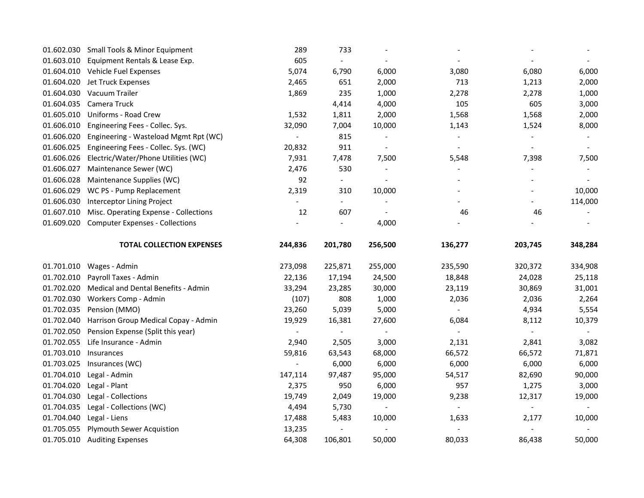|            | 01.602.030 Small Tools & Minor Equipment | 289            | 733                      |                          |                          |                          |         |
|------------|------------------------------------------|----------------|--------------------------|--------------------------|--------------------------|--------------------------|---------|
| 01.603.010 | Equipment Rentals & Lease Exp.           | 605            | $\blacksquare$           |                          |                          |                          |         |
|            | 01.604.010 Vehicle Fuel Expenses         | 5,074          | 6,790                    | 6,000                    | 3,080                    | 6,080                    | 6,000   |
|            | 01.604.020 Jet Truck Expenses            | 2,465          | 651                      | 2,000                    | 713                      | 1,213                    | 2,000   |
| 01.604.030 | Vacuum Trailer                           | 1,869          | 235                      | 1,000                    | 2,278                    | 2,278                    | 1,000   |
| 01.604.035 | Camera Truck                             |                | 4,414                    | 4,000                    | 105                      | 605                      | 3,000   |
| 01.605.010 | Uniforms - Road Crew                     | 1,532          | 1,811                    | 2,000                    | 1,568                    | 1,568                    | 2,000   |
| 01.606.010 | Engineering Fees - Collec. Sys.          | 32,090         | 7,004                    | 10,000                   | 1,143                    | 1,524                    | 8,000   |
| 01.606.020 | Engineering - Wasteload Mgmt Rpt (WC)    | $\blacksquare$ | 815                      |                          |                          |                          |         |
| 01.606.025 | Engineering Fees - Collec. Sys. (WC)     | 20,832         | 911                      |                          |                          |                          |         |
| 01.606.026 | Electric/Water/Phone Utilities (WC)      | 7,931          | 7,478                    | 7,500                    | 5,548                    | 7,398                    | 7,500   |
| 01.606.027 | Maintenance Sewer (WC)                   | 2,476          | 530                      |                          |                          |                          |         |
| 01.606.028 | Maintenance Supplies (WC)                | 92             | $\overline{\phantom{a}}$ |                          |                          |                          |         |
| 01.606.029 | WC PS - Pump Replacement                 | 2,319          | 310                      | 10,000                   |                          |                          | 10,000  |
| 01.606.030 | Interceptor Lining Project               |                | $\sim$                   |                          |                          |                          | 114,000 |
| 01.607.010 | Misc. Operating Expense - Collections    | 12             | 607                      |                          | 46                       | 46                       |         |
| 01.609.020 | <b>Computer Expenses - Collections</b>   |                |                          | 4,000                    |                          |                          |         |
|            | <b>TOTAL COLLECTION EXPENSES</b>         | 244,836        | 201,780                  | 256,500                  | 136,277                  | 203,745                  | 348,284 |
| 01.701.010 | Wages - Admin                            | 273,098        | 225,871                  | 255,000                  | 235,590                  | 320,372                  | 334,908 |
| 01.702.010 | Payroll Taxes - Admin                    | 22,136         | 17,194                   | 24,500                   | 18,848                   | 24,028                   | 25,118  |
| 01.702.020 | Medical and Dental Benefits - Admin      | 33,294         | 23,285                   | 30,000                   | 23,119                   | 30,869                   | 31,001  |
| 01.702.030 | Workers Comp - Admin                     | (107)          | 808                      | 1,000                    | 2,036                    | 2,036                    | 2,264   |
| 01.702.035 | Pension (MMO)                            | 23,260         | 5,039                    | 5,000                    | $\blacksquare$           | 4,934                    | 5,554   |
| 01.702.040 | Harrison Group Medical Copay - Admin     | 19,929         | 16,381                   | 27,600                   | 6,084                    | 8,112                    | 10,379  |
| 01.702.050 | Pension Expense (Split this year)        |                |                          |                          |                          |                          |         |
| 01.702.055 | Life Insurance - Admin                   | 2,940          | 2,505                    | 3,000                    | 2,131                    | 2,841                    | 3,082   |
| 01.703.010 | Insurances                               | 59,816         | 63,543                   | 68,000                   | 66,572                   | 66,572                   | 71,871  |
| 01.703.025 | Insurances (WC)                          |                | 6,000                    | 6,000                    | 6,000                    | 6,000                    | 6,000   |
| 01.704.010 | Legal - Admin                            | 147,114        | 97,487                   | 95,000                   | 54,517                   | 82,690                   | 90,000  |
| 01.704.020 | Legal - Plant                            | 2,375          | 950                      | 6,000                    | 957                      | 1,275                    | 3,000   |
| 01.704.030 | Legal - Collections                      | 19,749         | 2,049                    | 19,000                   | 9,238                    | 12,317                   | 19,000  |
| 01.704.035 | Legal - Collections (WC)                 | 4,494          | 5,730                    | $\overline{\phantom{a}}$ | $\blacksquare$           | $\overline{\phantom{a}}$ |         |
|            |                                          |                |                          |                          |                          |                          |         |
| 01.704.040 | Legal - Liens                            | 17,488         | 5,483                    | 10,000                   | 1,633                    | 2,177                    | 10,000  |
| 01.705.055 | <b>Plymouth Sewer Acquistion</b>         | 13,235         |                          | $\overline{a}$           | $\overline{\phantom{a}}$ |                          |         |